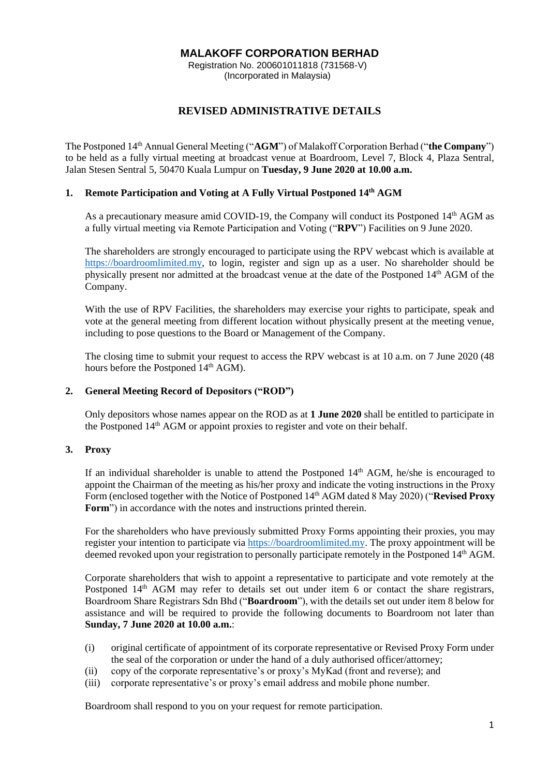### **MALAKOFF CORPORATION BERHAD**

Registration No. 200601011818 (731568-V) (Incorporated in Malaysia)

# **REVISED ADMINISTRATIVE DETAILS**

The Postponed 14th Annual General Meeting ("**AGM**") of Malakoff Corporation Berhad ("**the Company**") to be held as a fully virtual meeting at broadcast venue at Boardroom, Level 7, Block 4, Plaza Sentral, Jalan Stesen Sentral 5, 50470 Kuala Lumpur on **Tuesday, 9 June 2020 at 10.00 a.m.**

# **1. Remote Participation and Voting at A Fully Virtual Postponed 14th AGM**

As a precautionary measure amid COVID-19, the Company will conduct its Postponed 14<sup>th</sup> AGM as a fully virtual meeting via Remote Participation and Voting ("**RPV**") Facilities on 9 June 2020.

The shareholders are strongly encouraged to participate using the RPV webcast which is available at [https://boardroomlimited.my,](https://boardroomlimited.my/) to login, register and sign up as a user. No shareholder should be physically present nor admitted at the broadcast venue at the date of the Postponed 14th AGM of the Company.

With the use of RPV Facilities, the shareholders may exercise your rights to participate, speak and vote at the general meeting from different location without physically present at the meeting venue, including to pose questions to the Board or Management of the Company.

The closing time to submit your request to access the RPV webcast is at 10 a.m. on 7 June 2020 (48 hours before the Postponed 14<sup>th</sup> AGM).

#### **2. General Meeting Record of Depositors ("ROD")**

Only depositors whose names appear on the ROD as at **1 June 2020** shall be entitled to participate in the Postponed 14th AGM or appoint proxies to register and vote on their behalf.

#### **3. Proxy**

If an individual shareholder is unable to attend the Postponed  $14<sup>th</sup>$  AGM, he/she is encouraged to appoint the Chairman of the meeting as his/her proxy and indicate the voting instructions in the Proxy Form (enclosed together with the Notice of Postponed 14th AGM dated 8 May 2020) ("**Revised Proxy Form**") in accordance with the notes and instructions printed therein.

For the shareholders who have previously submitted Proxy Forms appointing their proxies, you may register your intention to participate vi[a https://boardroomlimited.my.](https://boardroomlimited.my/) The proxy appointment will be deemed revoked upon your registration to personally participate remotely in the Postponed 14<sup>th</sup> AGM.

Corporate shareholders that wish to appoint a representative to participate and vote remotely at the Postponed 14<sup>th</sup> AGM may refer to details set out under item 6 or contact the share registrars, Boardroom Share Registrars Sdn Bhd ("**Boardroom**"), with the details set out under item 8 below for assistance and will be required to provide the following documents to Boardroom not later than **Sunday, 7 June 2020 at 10.00 a.m.**:

- (i) original certificate of appointment of its corporate representative or Revised Proxy Form under the seal of the corporation or under the hand of a duly authorised officer/attorney;
- (ii) copy of the corporate representative's or proxy's MyKad (front and reverse); and
- (iii) corporate representative's or proxy's email address and mobile phone number.

Boardroom shall respond to you on your request for remote participation.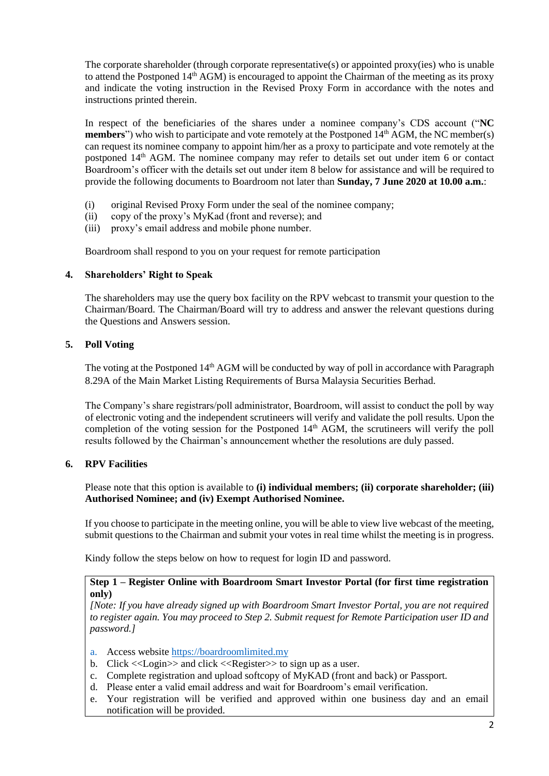The corporate shareholder (through corporate representative(s) or appointed proxy(ies) who is unable to attend the Postponed 14<sup>th</sup> AGM) is encouraged to appoint the Chairman of the meeting as its proxy and indicate the voting instruction in the Revised Proxy Form in accordance with the notes and instructions printed therein.

In respect of the beneficiaries of the shares under a nominee company's CDS account ("**NC members**") who wish to participate and vote remotely at the Postponed 14<sup>th</sup> AGM, the NC member(s) can request its nominee company to appoint him/her as a proxy to participate and vote remotely at the postponed 14<sup>th</sup> AGM. The nominee company may refer to details set out under item 6 or contact Boardroom's officer with the details set out under item 8 below for assistance and will be required to provide the following documents to Boardroom not later than **Sunday, 7 June 2020 at 10.00 a.m.**:

- (i) original Revised Proxy Form under the seal of the nominee company;
- (ii) copy of the proxy's MyKad (front and reverse); and
- (iii) proxy's email address and mobile phone number.

Boardroom shall respond to you on your request for remote participation

### **4. Shareholders' Right to Speak**

The shareholders may use the query box facility on the RPV webcast to transmit your question to the Chairman/Board. The Chairman/Board will try to address and answer the relevant questions during the Questions and Answers session.

### **5. Poll Voting**

The voting at the Postponed 14<sup>th</sup> AGM will be conducted by way of poll in accordance with Paragraph 8.29A of the Main Market Listing Requirements of Bursa Malaysia Securities Berhad.

The Company's share registrars/poll administrator, Boardroom, will assist to conduct the poll by way of electronic voting and the independent scrutineers will verify and validate the poll results. Upon the completion of the voting session for the Postponed  $14<sup>th</sup>$  AGM, the scrutineers will verify the poll results followed by the Chairman's announcement whether the resolutions are duly passed.

## **6. RPV Facilities**

Please note that this option is available to **(i) individual members; (ii) corporate shareholder; (iii) Authorised Nominee; and (iv) Exempt Authorised Nominee.**

If you choose to participate in the meeting online, you will be able to view live webcast of the meeting, submit questions to the Chairman and submit your votes in real time whilst the meeting is in progress.

Kindy follow the steps below on how to request for login ID and password.

### **Step 1 – Register Online with Boardroom Smart Investor Portal (for first time registration only)**

*[Note: If you have already signed up with Boardroom Smart Investor Portal, you are not required to register again. You may proceed to Step 2. Submit request for Remote Participation user ID and password.]* 

- a. Access website [https://boardroomlimited.my](https://boardroomlimited.my/)
- b. Click  $\langle$  Login  $\rangle$  and click  $\langle$  Register  $\rangle$  to sign up as a user.
- c. Complete registration and upload softcopy of MyKAD (front and back) or Passport.
- d. Please enter a valid email address and wait for Boardroom's email verification.
- e. Your registration will be verified and approved within one business day and an email notification will be provided.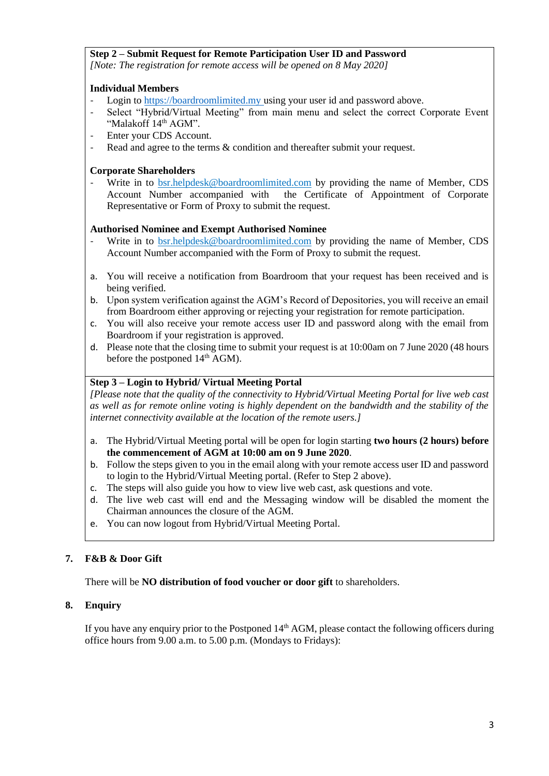## **Step 2 – Submit Request for Remote Participation User ID and Password**

*[Note: The registration for remote access will be opened on 8 May 2020]*

### **Individual Members**

- Login to [https://boardroomlimited.my](https://boardroomlimited.my/) using your user id and password above.
- Select "Hybrid/Virtual Meeting" from main menu and select the correct Corporate Event "Malakoff 14<sup>th</sup> AGM".
- Enter your CDS Account.
- Read and agree to the terms & condition and thereafter submit your request.

### **Corporate Shareholders**

Write in to [bsr.helpdesk@boardroomlimited.com](mailto:bsr.helpdesk@boardroomlimited.com) by providing the name of Member, CDS Account Number accompanied with the Certificate of Appointment of Corporate Representative or Form of Proxy to submit the request.

### **Authorised Nominee and Exempt Authorised Nominee**

- Write in to [bsr.helpdesk@boardroomlimited.com](mailto:bsr.helpdesk@boardroomlimited.com) by providing the name of Member, CDS Account Number accompanied with the Form of Proxy to submit the request.
- a. You will receive a notification from Boardroom that your request has been received and is being verified.
- b. Upon system verification against the AGM's Record of Depositories, you will receive an email from Boardroom either approving or rejecting your registration for remote participation.
- c. You will also receive your remote access user ID and password along with the email from Boardroom if your registration is approved.
- d. Please note that the closing time to submit your request is at 10:00am on 7 June 2020 (48 hours before the postponed  $14<sup>th</sup>$  AGM).

### **Step 3 – Login to Hybrid/ Virtual Meeting Portal**

*[Please note that the quality of the connectivity to Hybrid/Virtual Meeting Portal for live web cast as well as for remote online voting is highly dependent on the bandwidth and the stability of the internet connectivity available at the location of the remote users.]*

- a. The Hybrid/Virtual Meeting portal will be open for login starting **two hours (2 hours) before the commencement of AGM at 10:00 am on 9 June 2020**.
- b. Follow the steps given to you in the email along with your remote access user ID and password to login to the Hybrid/Virtual Meeting portal. (Refer to Step 2 above).
- c. The steps will also guide you how to view live web cast, ask questions and vote.
- d. The live web cast will end and the Messaging window will be disabled the moment the Chairman announces the closure of the AGM.
- e. You can now logout from Hybrid/Virtual Meeting Portal.

## **7. F&B & Door Gift**

There will be **NO distribution of food voucher or door gift** to shareholders.

## **8. Enquiry**

If you have any enquiry prior to the Postponed 14<sup>th</sup> AGM, please contact the following officers during office hours from 9.00 a.m. to 5.00 p.m. (Mondays to Fridays):